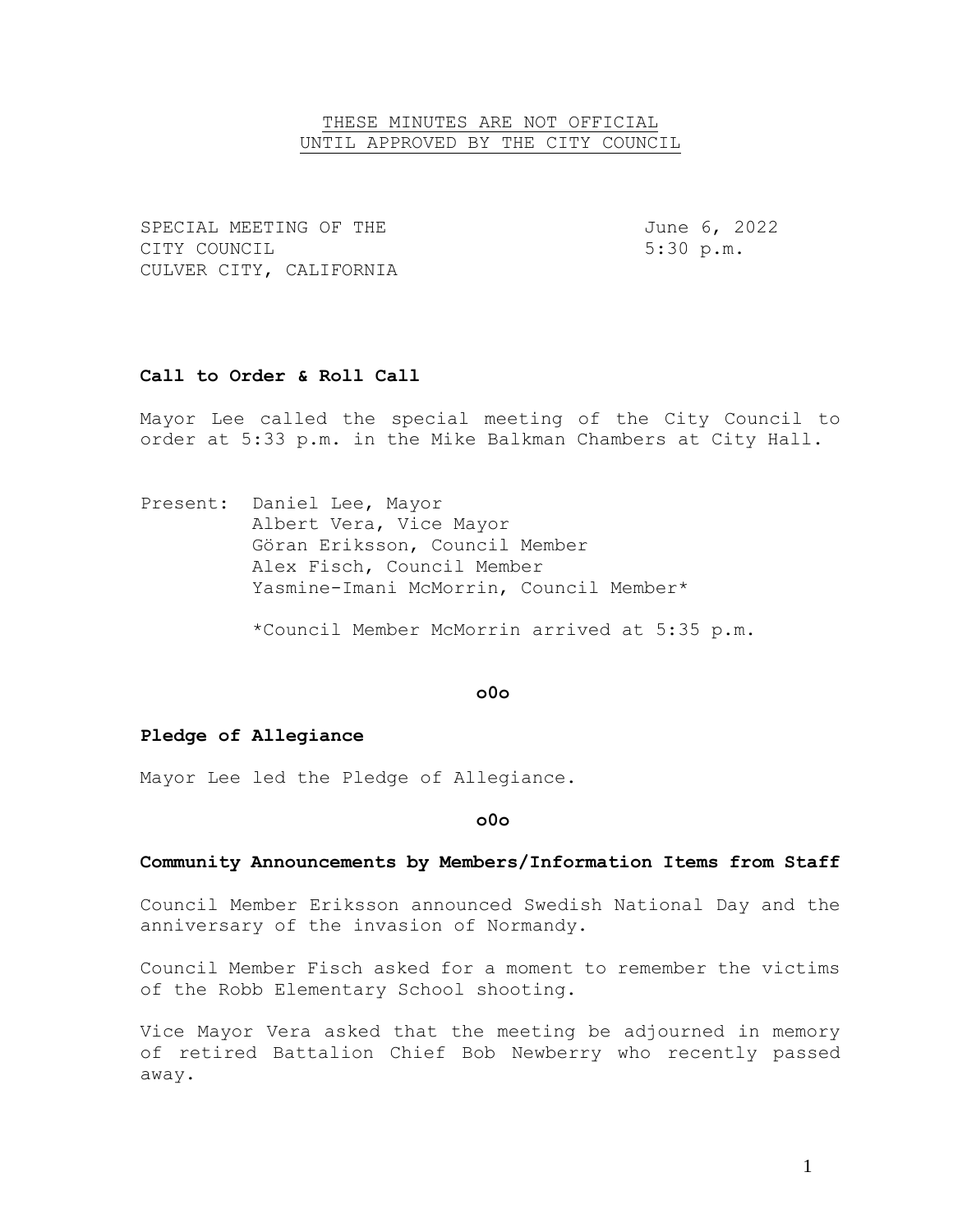## THESE MINUTES ARE NOT OFFICIAL UNTIL APPROVED BY THE CITY COUNCIL

SPECIAL MEETING OF THE  $J$ une 6, 2022 CITY COUNCIL 6. 1999 1. The Second State of the State of the State of the State of the State of the State of the State of the State of the State of the State of the State of the State of the State of the State of the State CULVER CITY, CALIFORNIA

# **Call to Order & Roll Call**

Mayor Lee called the special meeting of the City Council to order at 5:33 p.m. in the Mike Balkman Chambers at City Hall.

Present: Daniel Lee, Mayor Albert Vera, Vice Mayor Göran Eriksson, Council Member Alex Fisch, Council Member Yasmine-Imani McMorrin, Council Member\*

\*Council Member McMorrin arrived at 5:35 p.m.

#### **o0o**

### **Pledge of Allegiance**

Mayor Lee led the Pledge of Allegiance.

### **o0o**

# **Community Announcements by Members/Information Items from Staff**

Council Member Eriksson announced Swedish National Day and the anniversary of the invasion of Normandy.

Council Member Fisch asked for a moment to remember the victims of the Robb Elementary School shooting.

Vice Mayor Vera asked that the meeting be adjourned in memory of retired Battalion Chief Bob Newberry who recently passed away.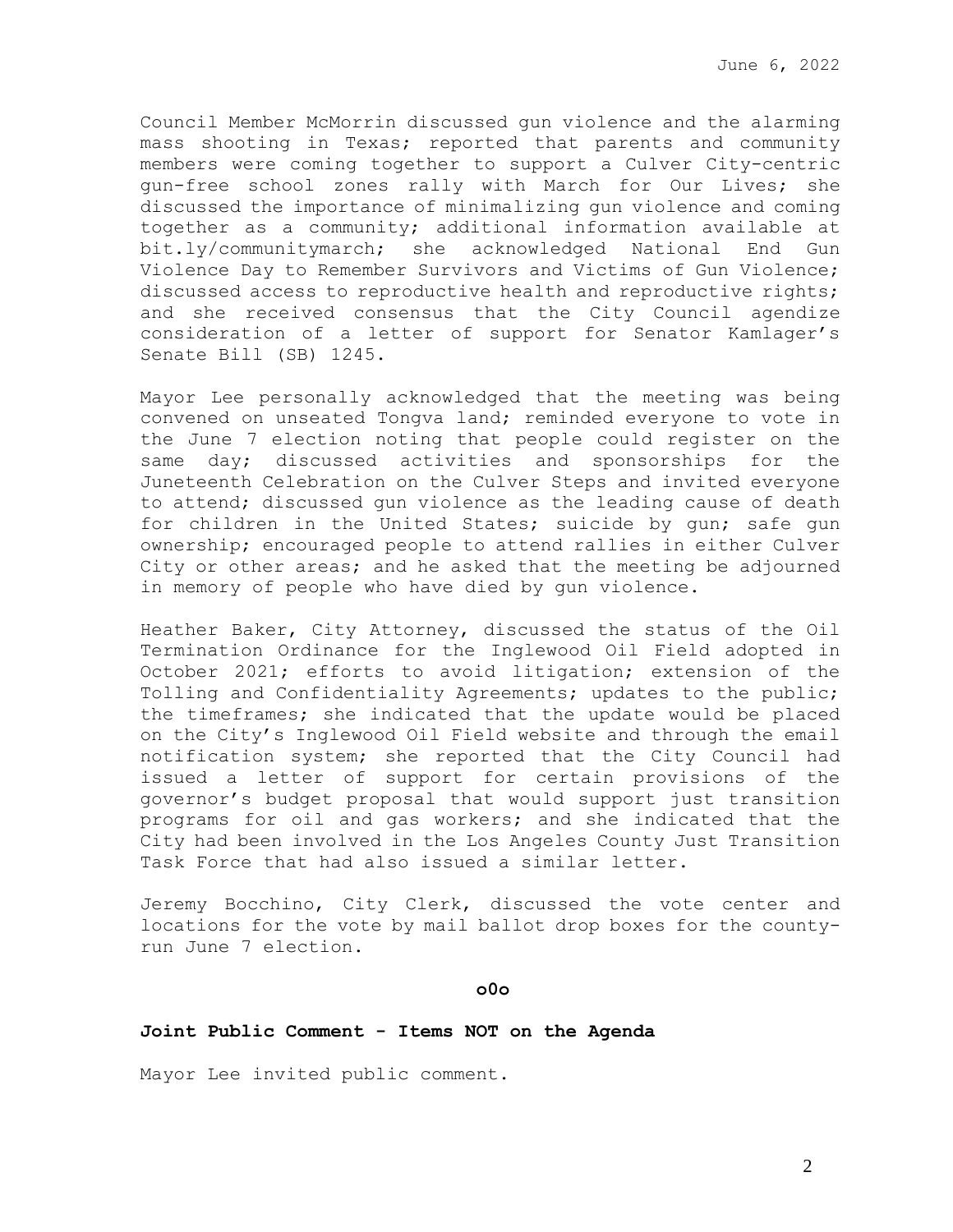Council Member McMorrin discussed gun violence and the alarming mass shooting in Texas; reported that parents and community members were coming together to support a Culver City-centric gun-free school zones rally with March for Our Lives; she discussed the importance of minimalizing gun violence and coming together as a community; additional information available at bit.ly/communitymarch; she acknowledged National End Gun Violence Day to Remember Survivors and Victims of Gun Violence; discussed access to reproductive health and reproductive rights; and she received consensus that the City Council agendize consideration of a letter of support for Senator Kamlager's Senate Bill (SB) 1245.

Mayor Lee personally acknowledged that the meeting was being convened on unseated Tongva land; reminded everyone to vote in the June 7 election noting that people could register on the same day; discussed activities and sponsorships for the Juneteenth Celebration on the Culver Steps and invited everyone to attend; discussed gun violence as the leading cause of death for children in the United States; suicide by gun; safe gun ownership; encouraged people to attend rallies in either Culver City or other areas; and he asked that the meeting be adjourned in memory of people who have died by gun violence.

Heather Baker, City Attorney, discussed the status of the Oil Termination Ordinance for the Inglewood Oil Field adopted in October 2021; efforts to avoid litigation; extension of the Tolling and Confidentiality Agreements; updates to the public; the timeframes; she indicated that the update would be placed on the City's Inglewood Oil Field website and through the email notification system; she reported that the City Council had issued a letter of support for certain provisions of the governor's budget proposal that would support just transition programs for oil and gas workers; and she indicated that the City had been involved in the Los Angeles County Just Transition Task Force that had also issued a similar letter.

Jeremy Bocchino, City Clerk, discussed the vote center and locations for the vote by mail ballot drop boxes for the countyrun June 7 election.

#### **o0o**

#### **Joint Public Comment - Items NOT on the Agenda**

Mayor Lee invited public comment.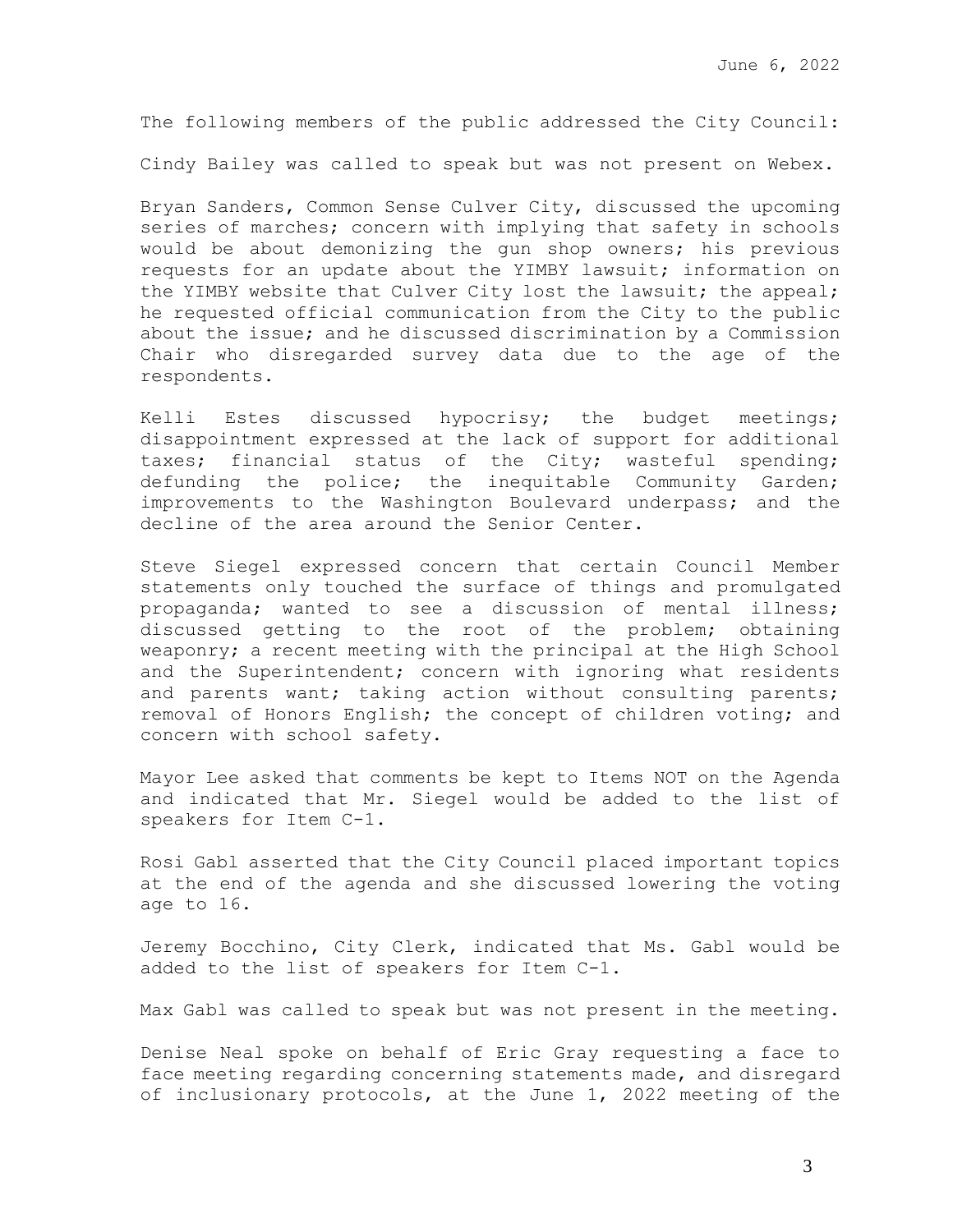The following members of the public addressed the City Council:

Cindy Bailey was called to speak but was not present on Webex.

Bryan Sanders, Common Sense Culver City, discussed the upcoming series of marches; concern with implying that safety in schools would be about demonizing the gun shop owners; his previous requests for an update about the YIMBY lawsuit; information on the YIMBY website that Culver City lost the lawsuit; the appeal; he requested official communication from the City to the public about the issue; and he discussed discrimination by a Commission Chair who disregarded survey data due to the age of the respondents.

Kelli Estes discussed hypocrisy; the budget meetings; disappointment expressed at the lack of support for additional taxes; financial status of the City; wasteful spending; defunding the police; the inequitable Community Garden; improvements to the Washington Boulevard underpass; and the decline of the area around the Senior Center.

Steve Siegel expressed concern that certain Council Member statements only touched the surface of things and promulgated propaganda; wanted to see a discussion of mental illness; discussed getting to the root of the problem; obtaining weaponry; a recent meeting with the principal at the High School and the Superintendent; concern with ignoring what residents and parents want; taking action without consulting parents; removal of Honors English; the concept of children voting; and concern with school safety.

Mayor Lee asked that comments be kept to Items NOT on the Agenda and indicated that Mr. Siegel would be added to the list of speakers for Item C-1.

Rosi Gabl asserted that the City Council placed important topics at the end of the agenda and she discussed lowering the voting age to 16.

Jeremy Bocchino, City Clerk, indicated that Ms. Gabl would be added to the list of speakers for Item C-1.

Max Gabl was called to speak but was not present in the meeting.

Denise Neal spoke on behalf of Eric Gray requesting a face to face meeting regarding concerning statements made, and disregard of inclusionary protocols, at the June 1, 2022 meeting of the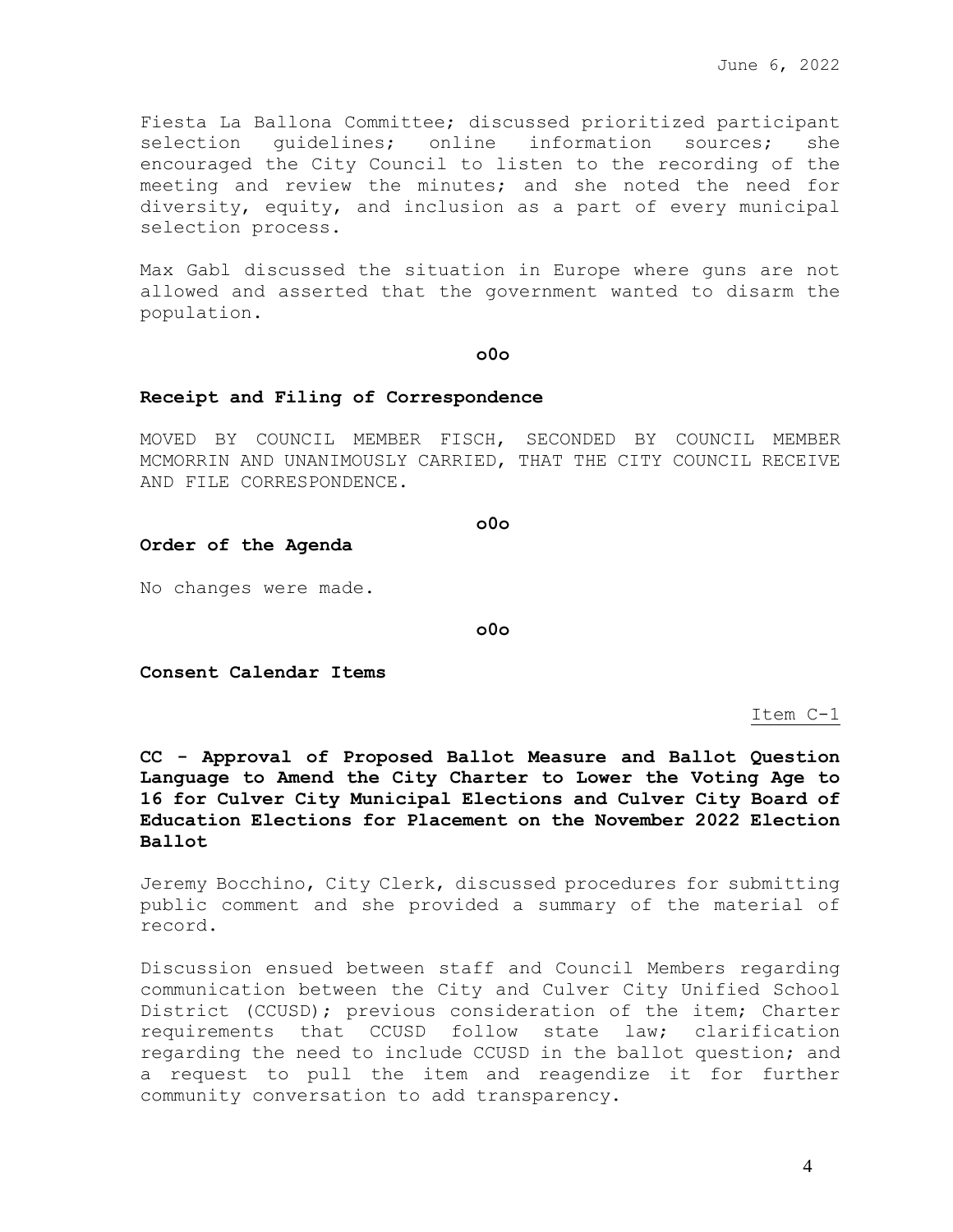Fiesta La Ballona Committee; discussed prioritized participant selection guidelines; online information sources; she encouraged the City Council to listen to the recording of the meeting and review the minutes; and she noted the need for diversity, equity, and inclusion as a part of every municipal selection process.

Max Gabl discussed the situation in Europe where guns are not allowed and asserted that the government wanted to disarm the population.

### **o0o**

#### **Receipt and Filing of Correspondence**

MOVED BY COUNCIL MEMBER FISCH, SECONDED BY COUNCIL MEMBER MCMORRIN AND UNANIMOUSLY CARRIED, THAT THE CITY COUNCIL RECEIVE AND FILE CORRESPONDENCE.

**o0o**

#### **Order of the Agenda**

No changes were made.

**o0o**

**Consent Calendar Items**

Item C-1

**CC - Approval of Proposed Ballot Measure and Ballot Question Language to Amend the City Charter to Lower the Voting Age to 16 for Culver City Municipal Elections and Culver City Board of Education Elections for Placement on the November 2022 Election Ballot** 

Jeremy Bocchino, City Clerk, discussed procedures for submitting public comment and she provided a summary of the material of record.

Discussion ensued between staff and Council Members regarding communication between the City and Culver City Unified School District (CCUSD); previous consideration of the item; Charter requirements that CCUSD follow state law; clarification regarding the need to include CCUSD in the ballot question; and a request to pull the item and reagendize it for further community conversation to add transparency.

4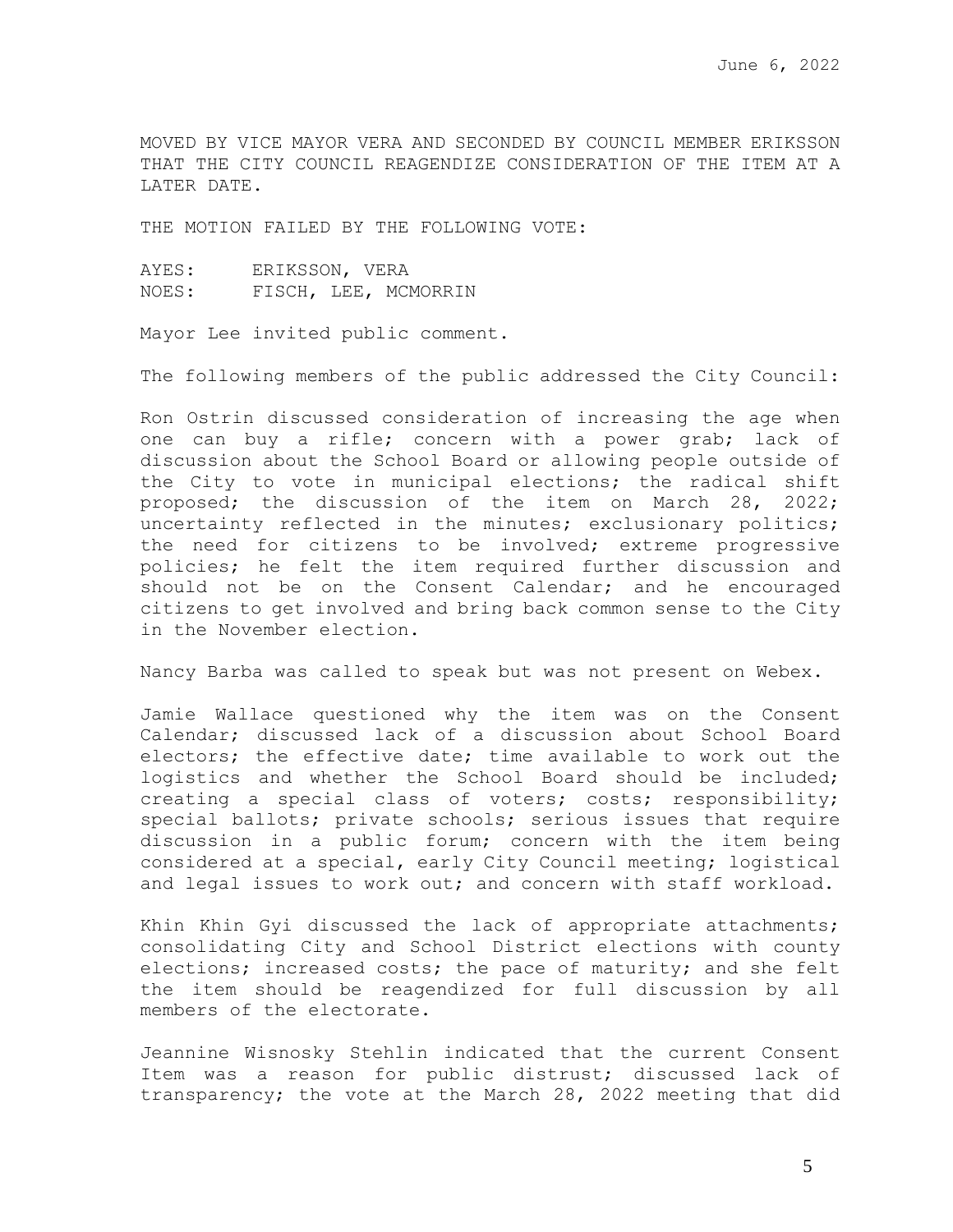MOVED BY VICE MAYOR VERA AND SECONDED BY COUNCIL MEMBER ERIKSSON THAT THE CITY COUNCIL REAGENDIZE CONSIDERATION OF THE ITEM AT A LATER DATE.

THE MOTION FAILED BY THE FOLLOWING VOTE:

| AYES: | ERIKSSON, VERA |                      |
|-------|----------------|----------------------|
| NOES: |                | FISCH, LEE, MCMORRIN |

Mayor Lee invited public comment.

The following members of the public addressed the City Council:

Ron Ostrin discussed consideration of increasing the age when one can buy a rifle; concern with a power grab; lack of discussion about the School Board or allowing people outside of the City to vote in municipal elections; the radical shift proposed; the discussion of the item on March 28, 2022; uncertainty reflected in the minutes; exclusionary politics; the need for citizens to be involved; extreme progressive policies; he felt the item required further discussion and should not be on the Consent Calendar; and he encouraged citizens to get involved and bring back common sense to the City in the November election.

Nancy Barba was called to speak but was not present on Webex.

Jamie Wallace questioned why the item was on the Consent Calendar; discussed lack of a discussion about School Board electors; the effective date; time available to work out the logistics and whether the School Board should be included; creating a special class of voters; costs; responsibility; special ballots; private schools; serious issues that require discussion in a public forum; concern with the item being considered at a special, early City Council meeting; logistical and legal issues to work out; and concern with staff workload.

Khin Khin Gyi discussed the lack of appropriate attachments; consolidating City and School District elections with county elections; increased costs; the pace of maturity; and she felt the item should be reagendized for full discussion by all members of the electorate.

Jeannine Wisnosky Stehlin indicated that the current Consent Item was a reason for public distrust; discussed lack of transparency; the vote at the March 28, 2022 meeting that did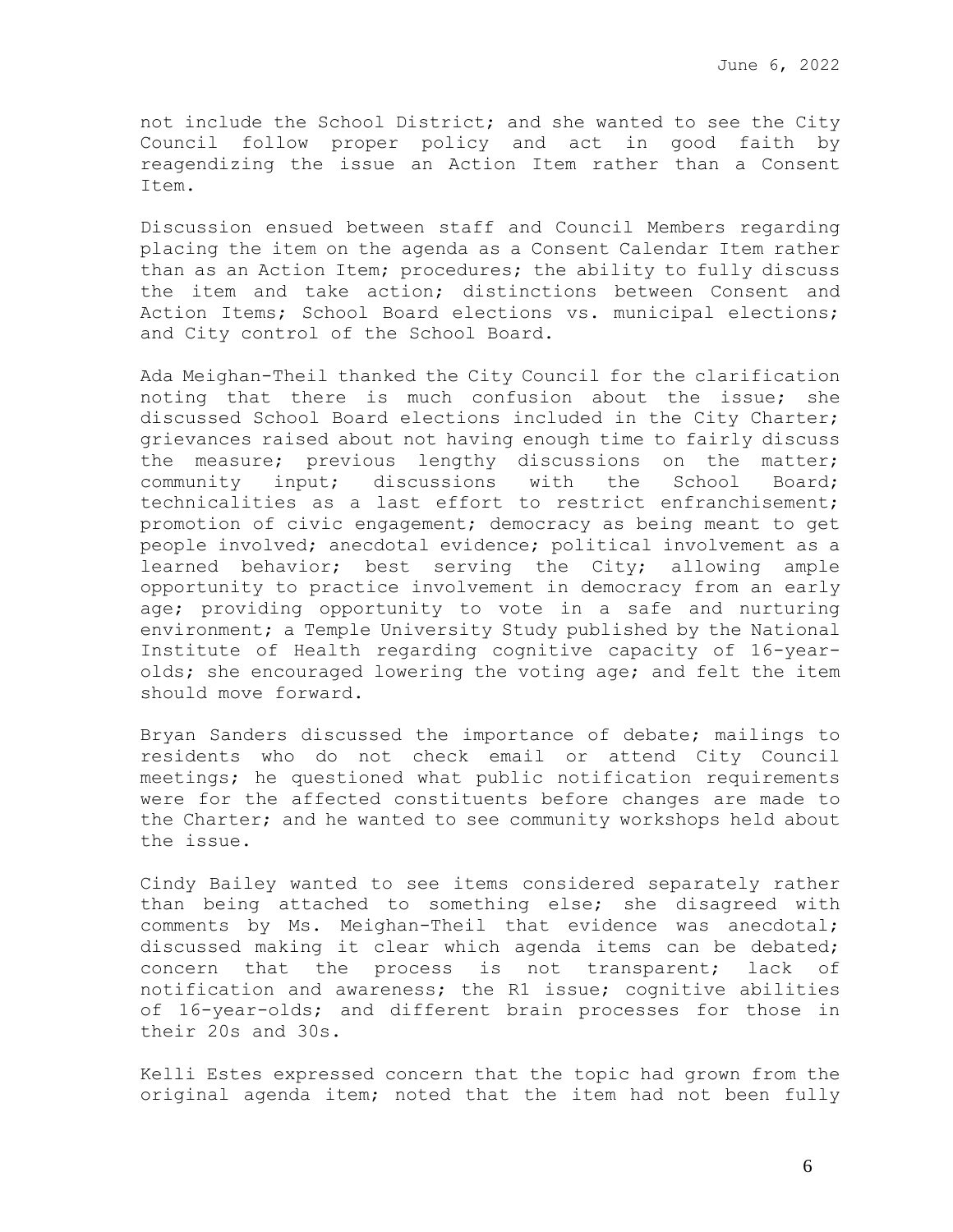not include the School District; and she wanted to see the City Council follow proper policy and act in good faith by reagendizing the issue an Action Item rather than a Consent Item.

Discussion ensued between staff and Council Members regarding placing the item on the agenda as a Consent Calendar Item rather than as an Action Item; procedures; the ability to fully discuss the item and take action; distinctions between Consent and Action Items; School Board elections vs. municipal elections; and City control of the School Board.

Ada Meighan-Theil thanked the City Council for the clarification noting that there is much confusion about the issue; she discussed School Board elections included in the City Charter; grievances raised about not having enough time to fairly discuss the measure; previous lengthy discussions on the matter; community input; discussions with the School Board; technicalities as a last effort to restrict enfranchisement; promotion of civic engagement; democracy as being meant to get people involved; anecdotal evidence; political involvement as a learned behavior; best serving the City; allowing ample opportunity to practice involvement in democracy from an early age; providing opportunity to vote in a safe and nurturing environment; a Temple University Study published by the National Institute of Health regarding cognitive capacity of 16-yearolds; she encouraged lowering the voting age; and felt the item should move forward.

Bryan Sanders discussed the importance of debate; mailings to residents who do not check email or attend City Council meetings; he questioned what public notification requirements were for the affected constituents before changes are made to the Charter; and he wanted to see community workshops held about the issue.

Cindy Bailey wanted to see items considered separately rather than being attached to something else; she disagreed with comments by Ms. Meighan-Theil that evidence was anecdotal; discussed making it clear which agenda items can be debated; concern that the process is not transparent; lack of notification and awareness; the R1 issue; cognitive abilities of 16-year-olds; and different brain processes for those in their 20s and 30s.

Kelli Estes expressed concern that the topic had grown from the original agenda item; noted that the item had not been fully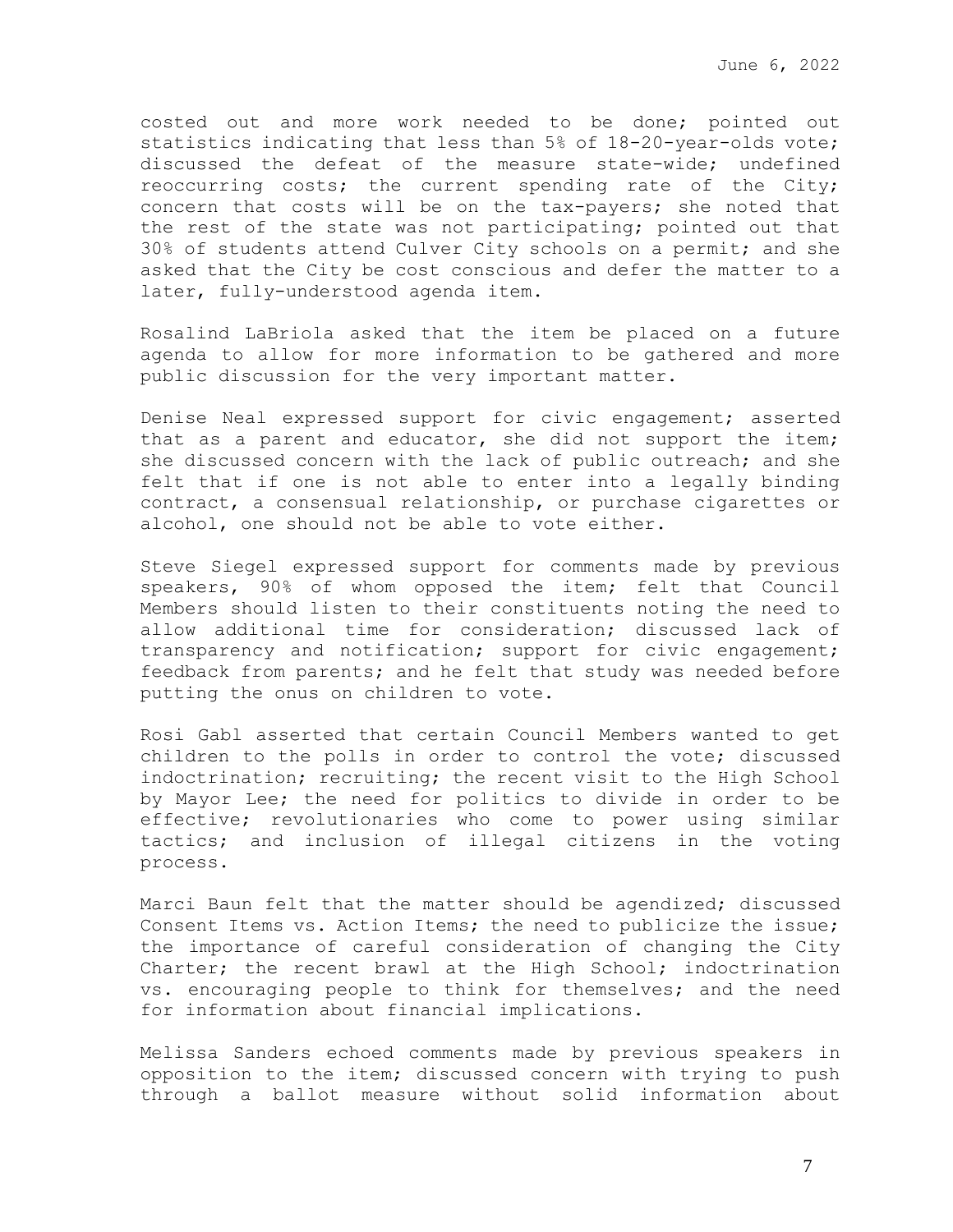costed out and more work needed to be done; pointed out statistics indicating that less than 5% of 18-20-year-olds vote; discussed the defeat of the measure state-wide; undefined reoccurring costs; the current spending rate of the City; concern that costs will be on the tax-payers; she noted that the rest of the state was not participating; pointed out that 30% of students attend Culver City schools on a permit; and she asked that the City be cost conscious and defer the matter to a later, fully-understood agenda item.

Rosalind LaBriola asked that the item be placed on a future agenda to allow for more information to be gathered and more public discussion for the very important matter.

Denise Neal expressed support for civic engagement; asserted that as a parent and educator, she did not support the item; she discussed concern with the lack of public outreach; and she felt that if one is not able to enter into a legally binding contract, a consensual relationship, or purchase cigarettes or alcohol, one should not be able to vote either.

Steve Siegel expressed support for comments made by previous speakers, 90% of whom opposed the item; felt that Council Members should listen to their constituents noting the need to allow additional time for consideration; discussed lack of transparency and notification; support for civic engagement; feedback from parents; and he felt that study was needed before putting the onus on children to vote.

Rosi Gabl asserted that certain Council Members wanted to get children to the polls in order to control the vote; discussed indoctrination; recruiting; the recent visit to the High School by Mayor Lee; the need for politics to divide in order to be effective; revolutionaries who come to power using similar tactics; and inclusion of illegal citizens in the voting process.

Marci Baun felt that the matter should be agendized; discussed Consent Items vs. Action Items; the need to publicize the issue; the importance of careful consideration of changing the City Charter; the recent brawl at the High School; indoctrination vs. encouraging people to think for themselves; and the need for information about financial implications.

Melissa Sanders echoed comments made by previous speakers in opposition to the item; discussed concern with trying to push through a ballot measure without solid information about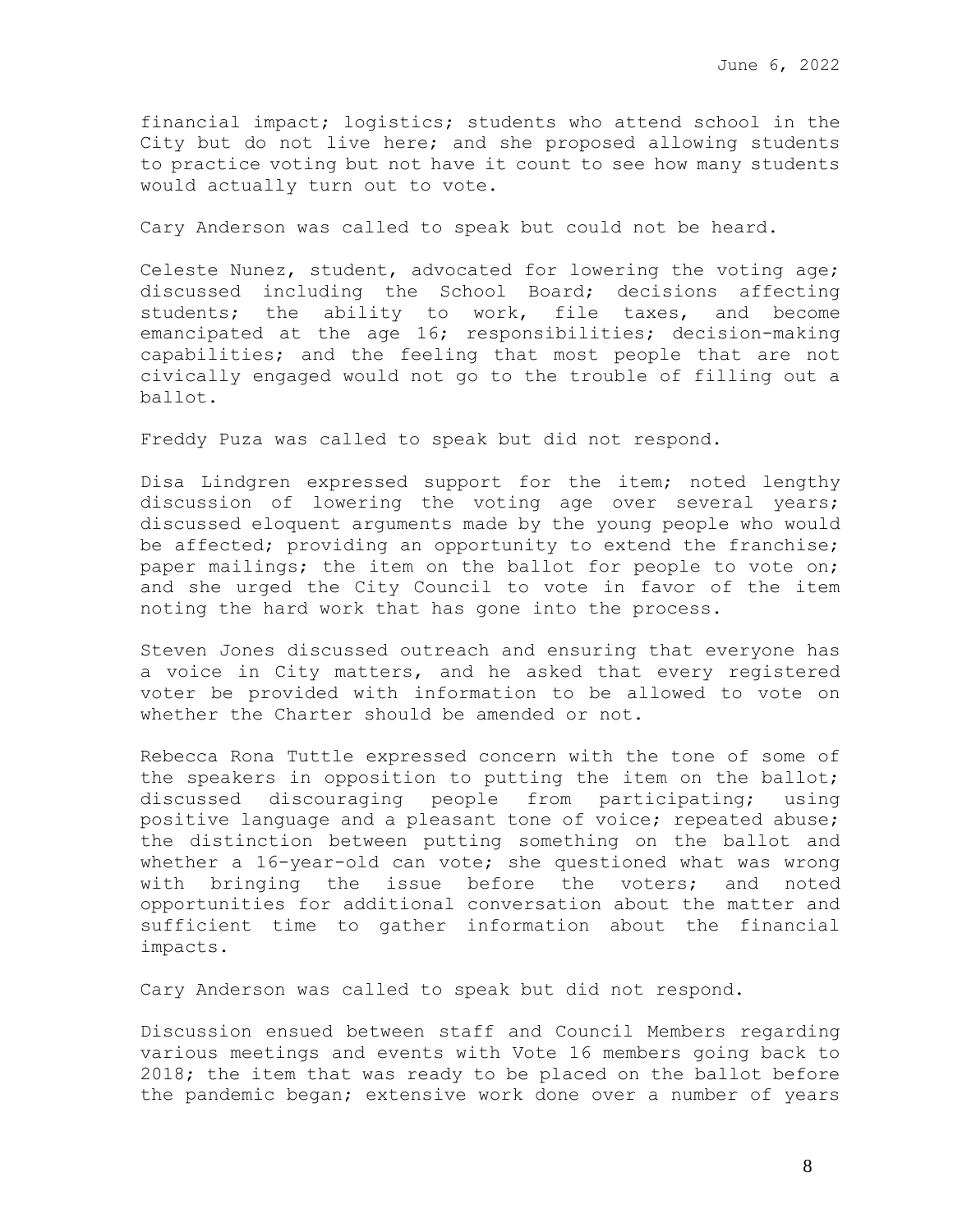financial impact; logistics; students who attend school in the City but do not live here; and she proposed allowing students to practice voting but not have it count to see how many students would actually turn out to vote.

Cary Anderson was called to speak but could not be heard.

Celeste Nunez, student, advocated for lowering the voting age; discussed including the School Board; decisions affecting students; the ability to work, file taxes, and become emancipated at the age 16; responsibilities; decision-making capabilities; and the feeling that most people that are not civically engaged would not go to the trouble of filling out a ballot.

Freddy Puza was called to speak but did not respond.

Disa Lindgren expressed support for the item; noted lengthy discussion of lowering the voting age over several years; discussed eloquent arguments made by the young people who would be affected; providing an opportunity to extend the franchise; paper mailings; the item on the ballot for people to vote on; and she urged the City Council to vote in favor of the item noting the hard work that has gone into the process.

Steven Jones discussed outreach and ensuring that everyone has a voice in City matters, and he asked that every registered voter be provided with information to be allowed to vote on whether the Charter should be amended or not.

Rebecca Rona Tuttle expressed concern with the tone of some of the speakers in opposition to putting the item on the ballot; discussed discouraging people from participating; using positive language and a pleasant tone of voice; repeated abuse; the distinction between putting something on the ballot and whether a 16-year-old can vote; she questioned what was wrong with bringing the issue before the voters; and noted opportunities for additional conversation about the matter and sufficient time to gather information about the financial impacts.

Cary Anderson was called to speak but did not respond.

Discussion ensued between staff and Council Members regarding various meetings and events with Vote 16 members going back to 2018; the item that was ready to be placed on the ballot before the pandemic began; extensive work done over a number of years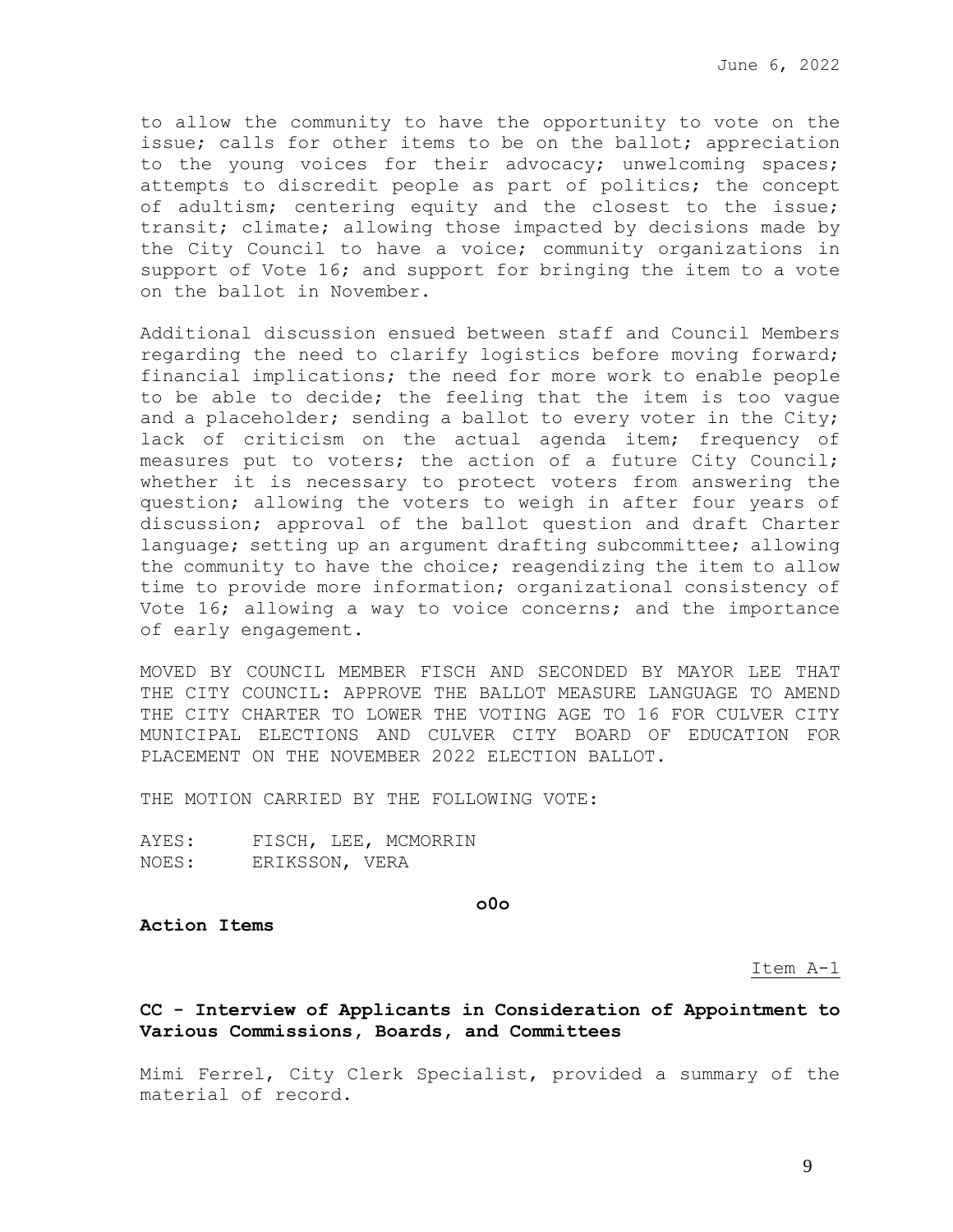June 6, 2022

to allow the community to have the opportunity to vote on the issue; calls for other items to be on the ballot; appreciation to the young voices for their advocacy; unwelcoming spaces; attempts to discredit people as part of politics; the concept of adultism; centering equity and the closest to the issue; transit; climate; allowing those impacted by decisions made by the City Council to have a voice; community organizations in support of Vote 16; and support for bringing the item to a vote on the ballot in November.

Additional discussion ensued between staff and Council Members regarding the need to clarify logistics before moving forward; financial implications; the need for more work to enable people to be able to decide; the feeling that the item is too vague and a placeholder; sending a ballot to every voter in the City; lack of criticism on the actual agenda item; frequency of measures put to voters; the action of a future City Council; whether it is necessary to protect voters from answering the question; allowing the voters to weigh in after four years of discussion; approval of the ballot question and draft Charter language; setting up an argument drafting subcommittee; allowing the community to have the choice; reagendizing the item to allow time to provide more information; organizational consistency of Vote 16; allowing a way to voice concerns; and the importance of early engagement.

MOVED BY COUNCIL MEMBER FISCH AND SECONDED BY MAYOR LEE THAT THE CITY COUNCIL: APPROVE THE BALLOT MEASURE LANGUAGE TO AMEND THE CITY CHARTER TO LOWER THE VOTING AGE TO 16 FOR CULVER CITY MUNICIPAL ELECTIONS AND CULVER CITY BOARD OF EDUCATION FOR PLACEMENT ON THE NOVEMBER 2022 ELECTION BALLOT.

THE MOTION CARRIED BY THE FOLLOWING VOTE:

AYES: FISCH, LEE, MCMORRIN NOES: ERIKSSON, VERA

**o0o**

**Action Items**

Item A-1

## **CC - Interview of Applicants in Consideration of Appointment to Various Commissions, Boards, and Committees**

Mimi Ferrel, City Clerk Specialist, provided a summary of the material of record.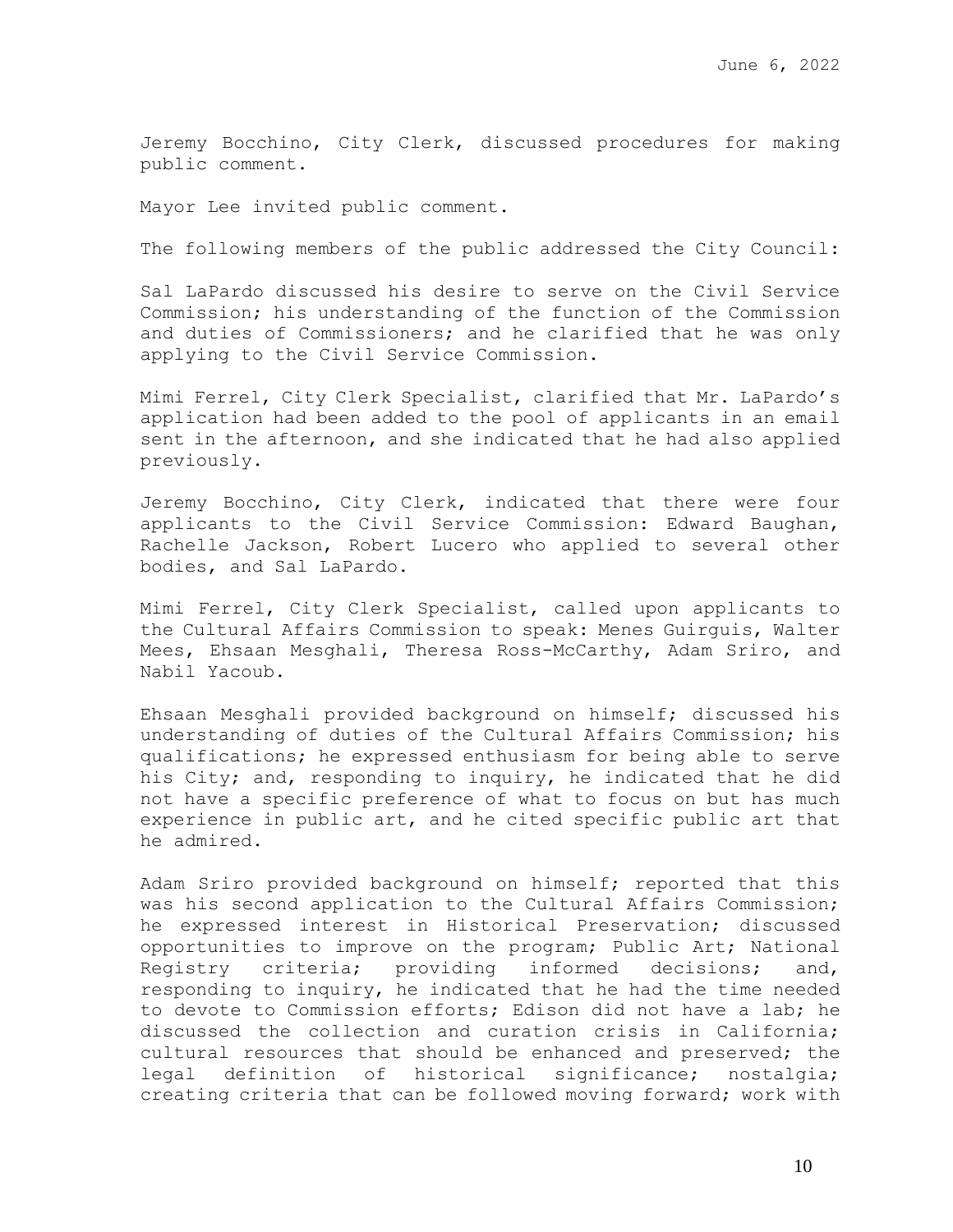Jeremy Bocchino, City Clerk, discussed procedures for making public comment.

Mayor Lee invited public comment.

The following members of the public addressed the City Council:

Sal LaPardo discussed his desire to serve on the Civil Service Commission; his understanding of the function of the Commission and duties of Commissioners; and he clarified that he was only applying to the Civil Service Commission.

Mimi Ferrel, City Clerk Specialist, clarified that Mr. LaPardo's application had been added to the pool of applicants in an email sent in the afternoon, and she indicated that he had also applied previously.

Jeremy Bocchino, City Clerk, indicated that there were four applicants to the Civil Service Commission: Edward Baughan, Rachelle Jackson, Robert Lucero who applied to several other bodies, and Sal LaPardo.

Mimi Ferrel, City Clerk Specialist, called upon applicants to the Cultural Affairs Commission to speak: Menes Guirguis, Walter Mees, Ehsaan Mesghali, Theresa Ross-McCarthy, Adam Sriro, and Nabil Yacoub.

Ehsaan Mesghali provided background on himself; discussed his understanding of duties of the Cultural Affairs Commission; his qualifications; he expressed enthusiasm for being able to serve his City; and, responding to inquiry, he indicated that he did not have a specific preference of what to focus on but has much experience in public art, and he cited specific public art that he admired.

Adam Sriro provided background on himself; reported that this was his second application to the Cultural Affairs Commission; he expressed interest in Historical Preservation; discussed opportunities to improve on the program; Public Art; National Registry criteria; providing informed decisions; and, responding to inquiry, he indicated that he had the time needed to devote to Commission efforts; Edison did not have a lab; he discussed the collection and curation crisis in California; cultural resources that should be enhanced and preserved; the legal definition of historical significance; nostalgia; creating criteria that can be followed moving forward; work with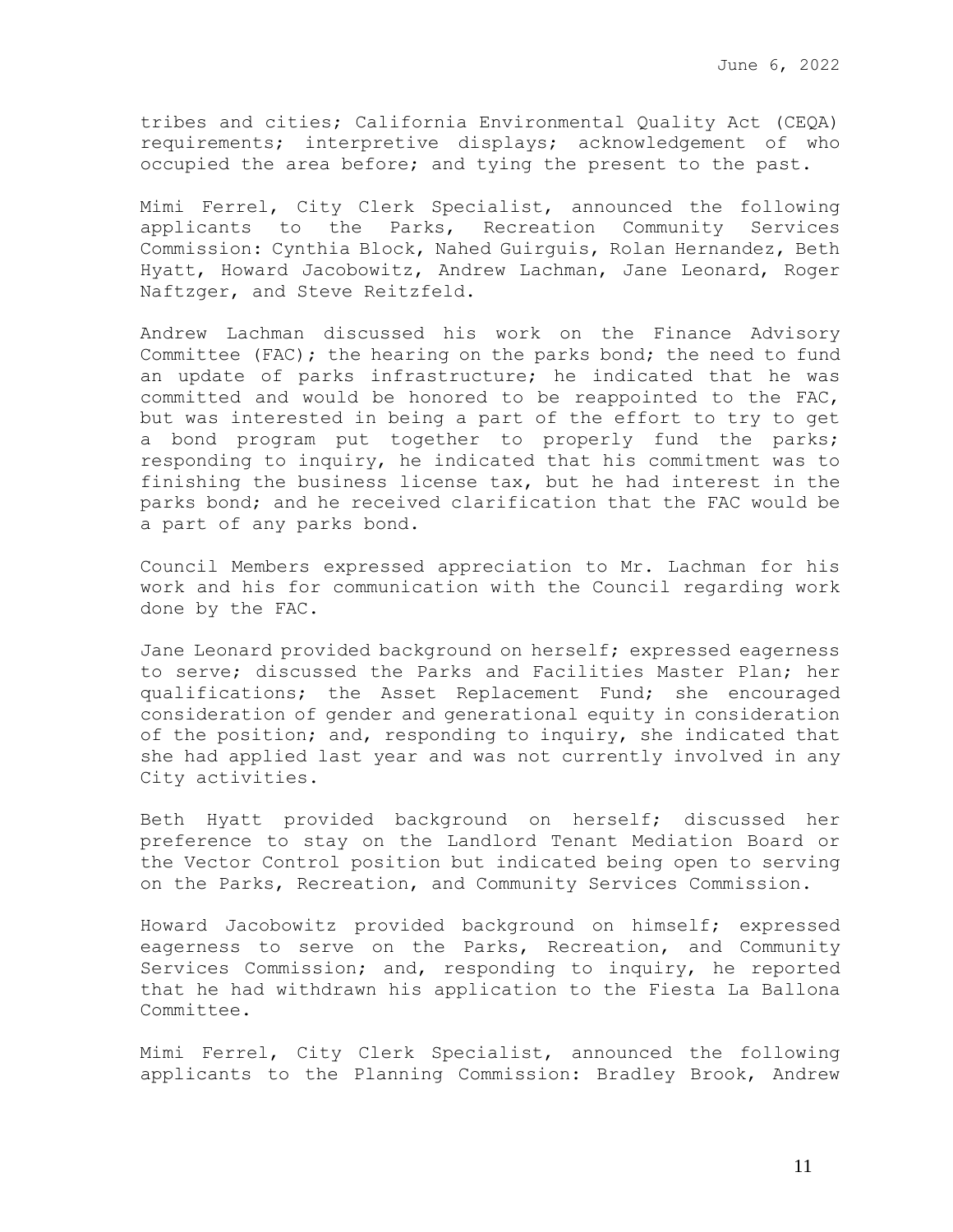tribes and cities; California Environmental Quality Act (CEQA) requirements; interpretive displays; acknowledgement of who occupied the area before; and tying the present to the past.

Mimi Ferrel, City Clerk Specialist, announced the following applicants to the Parks, Recreation Community Services Commission: Cynthia Block, Nahed Guirguis, Rolan Hernandez, Beth Hyatt, Howard Jacobowitz, Andrew Lachman, Jane Leonard, Roger Naftzger, and Steve Reitzfeld.

Andrew Lachman discussed his work on the Finance Advisory Committee (FAC); the hearing on the parks bond; the need to fund an update of parks infrastructure; he indicated that he was committed and would be honored to be reappointed to the FAC, but was interested in being a part of the effort to try to get a bond program put together to properly fund the parks; responding to inquiry, he indicated that his commitment was to finishing the business license tax, but he had interest in the parks bond; and he received clarification that the FAC would be a part of any parks bond.

Council Members expressed appreciation to Mr. Lachman for his work and his for communication with the Council regarding work done by the FAC.

Jane Leonard provided background on herself; expressed eagerness to serve; discussed the Parks and Facilities Master Plan; her qualifications; the Asset Replacement Fund; she encouraged consideration of gender and generational equity in consideration of the position; and, responding to inquiry, she indicated that she had applied last year and was not currently involved in any City activities.

Beth Hyatt provided background on herself; discussed her preference to stay on the Landlord Tenant Mediation Board or the Vector Control position but indicated being open to serving on the Parks, Recreation, and Community Services Commission.

Howard Jacobowitz provided background on himself; expressed eagerness to serve on the Parks, Recreation, and Community Services Commission; and, responding to inquiry, he reported that he had withdrawn his application to the Fiesta La Ballona Committee.

Mimi Ferrel, City Clerk Specialist, announced the following applicants to the Planning Commission: Bradley Brook, Andrew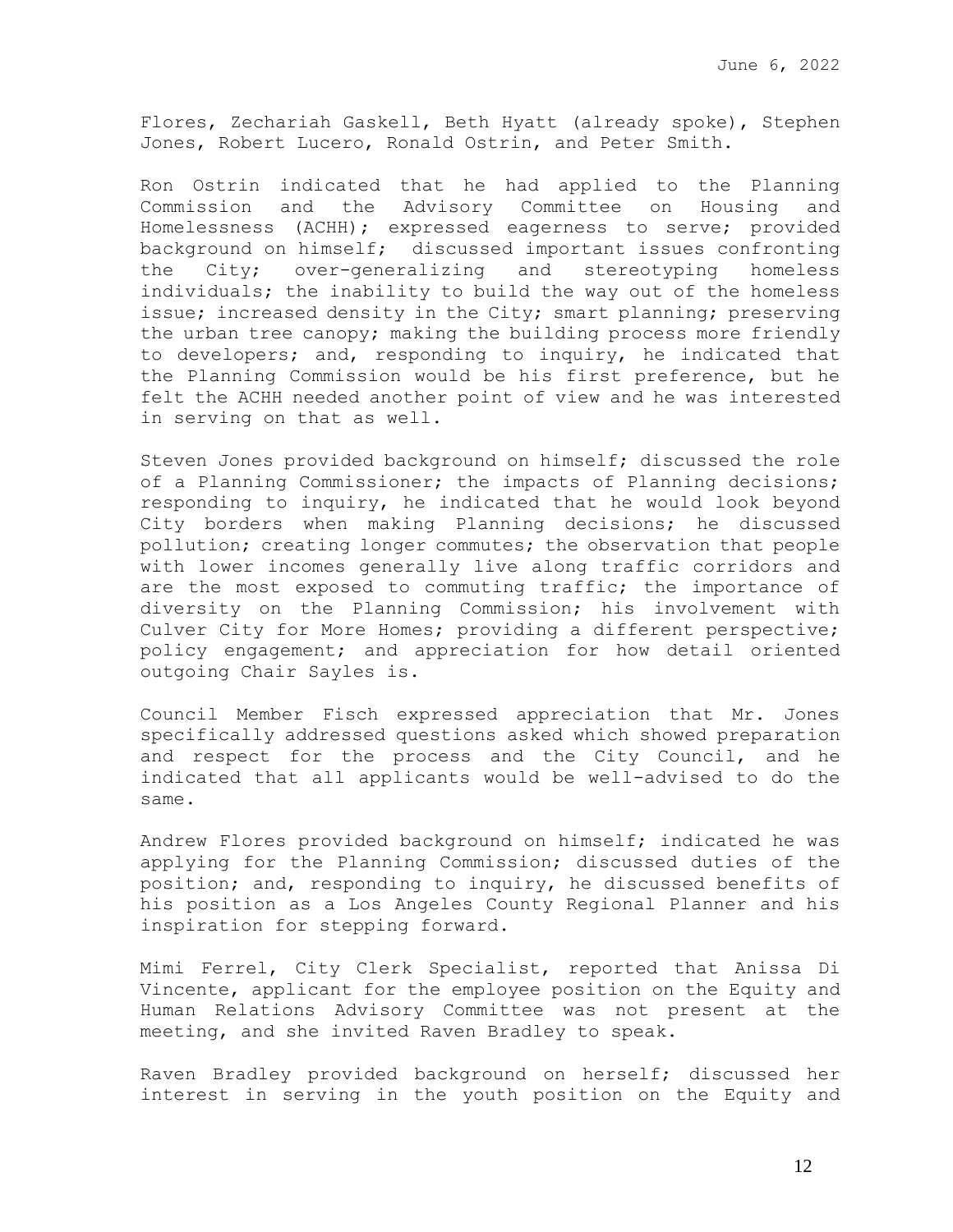Flores, Zechariah Gaskell, Beth Hyatt (already spoke), Stephen Jones, Robert Lucero, Ronald Ostrin, and Peter Smith.

Ron Ostrin indicated that he had applied to the Planning Commission and the Advisory Committee on Housing and Homelessness (ACHH); expressed eagerness to serve; provided background on himself; discussed important issues confronting the City; over-generalizing and stereotyping homeless individuals; the inability to build the way out of the homeless issue; increased density in the City; smart planning; preserving the urban tree canopy; making the building process more friendly to developers; and, responding to inquiry, he indicated that the Planning Commission would be his first preference, but he felt the ACHH needed another point of view and he was interested in serving on that as well.

Steven Jones provided background on himself; discussed the role of a Planning Commissioner; the impacts of Planning decisions; responding to inquiry, he indicated that he would look beyond City borders when making Planning decisions; he discussed pollution; creating longer commutes; the observation that people with lower incomes generally live along traffic corridors and are the most exposed to commuting traffic; the importance of diversity on the Planning Commission; his involvement with Culver City for More Homes; providing a different perspective; policy engagement; and appreciation for how detail oriented outgoing Chair Sayles is.

Council Member Fisch expressed appreciation that Mr. Jones specifically addressed questions asked which showed preparation and respect for the process and the City Council, and he indicated that all applicants would be well-advised to do the same.

Andrew Flores provided background on himself; indicated he was applying for the Planning Commission; discussed duties of the position; and, responding to inquiry, he discussed benefits of his position as a Los Angeles County Regional Planner and his inspiration for stepping forward.

Mimi Ferrel, City Clerk Specialist, reported that Anissa Di Vincente, applicant for the employee position on the Equity and Human Relations Advisory Committee was not present at the meeting, and she invited Raven Bradley to speak.

Raven Bradley provided background on herself; discussed her interest in serving in the youth position on the Equity and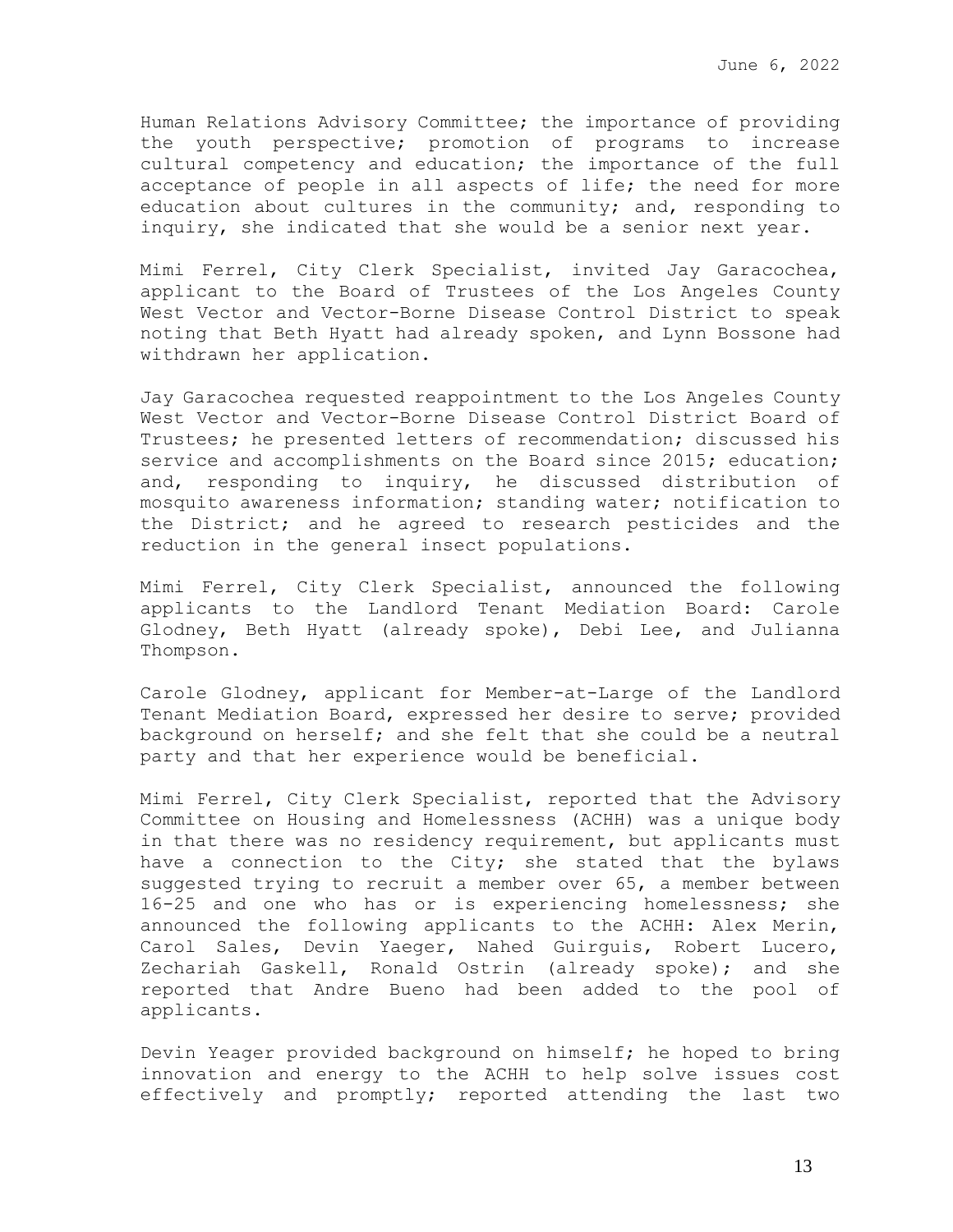Human Relations Advisory Committee; the importance of providing the youth perspective; promotion of programs to increase cultural competency and education; the importance of the full acceptance of people in all aspects of life; the need for more education about cultures in the community; and, responding to inquiry, she indicated that she would be a senior next year.

Mimi Ferrel, City Clerk Specialist, invited Jay Garacochea, applicant to the Board of Trustees of the Los Angeles County West Vector and Vector-Borne Disease Control District to speak noting that Beth Hyatt had already spoken, and Lynn Bossone had withdrawn her application.

Jay Garacochea requested reappointment to the Los Angeles County West Vector and Vector-Borne Disease Control District Board of Trustees; he presented letters of recommendation; discussed his service and accomplishments on the Board since 2015; education; and, responding to inquiry, he discussed distribution of mosquito awareness information; standing water; notification to the District; and he agreed to research pesticides and the reduction in the general insect populations.

Mimi Ferrel, City Clerk Specialist, announced the following applicants to the Landlord Tenant Mediation Board: Carole Glodney, Beth Hyatt (already spoke), Debi Lee, and Julianna Thompson.

Carole Glodney, applicant for Member-at-Large of the Landlord Tenant Mediation Board, expressed her desire to serve; provided background on herself; and she felt that she could be a neutral party and that her experience would be beneficial.

Mimi Ferrel, City Clerk Specialist, reported that the Advisory Committee on Housing and Homelessness (ACHH) was a unique body in that there was no residency requirement, but applicants must have a connection to the City; she stated that the bylaws suggested trying to recruit a member over 65, a member between 16-25 and one who has or is experiencing homelessness; she announced the following applicants to the ACHH: Alex Merin, Carol Sales, Devin Yaeger, Nahed Guirguis, Robert Lucero, Zechariah Gaskell, Ronald Ostrin (already spoke); and she reported that Andre Bueno had been added to the pool of applicants.

Devin Yeager provided background on himself; he hoped to bring innovation and energy to the ACHH to help solve issues cost effectively and promptly; reported attending the last two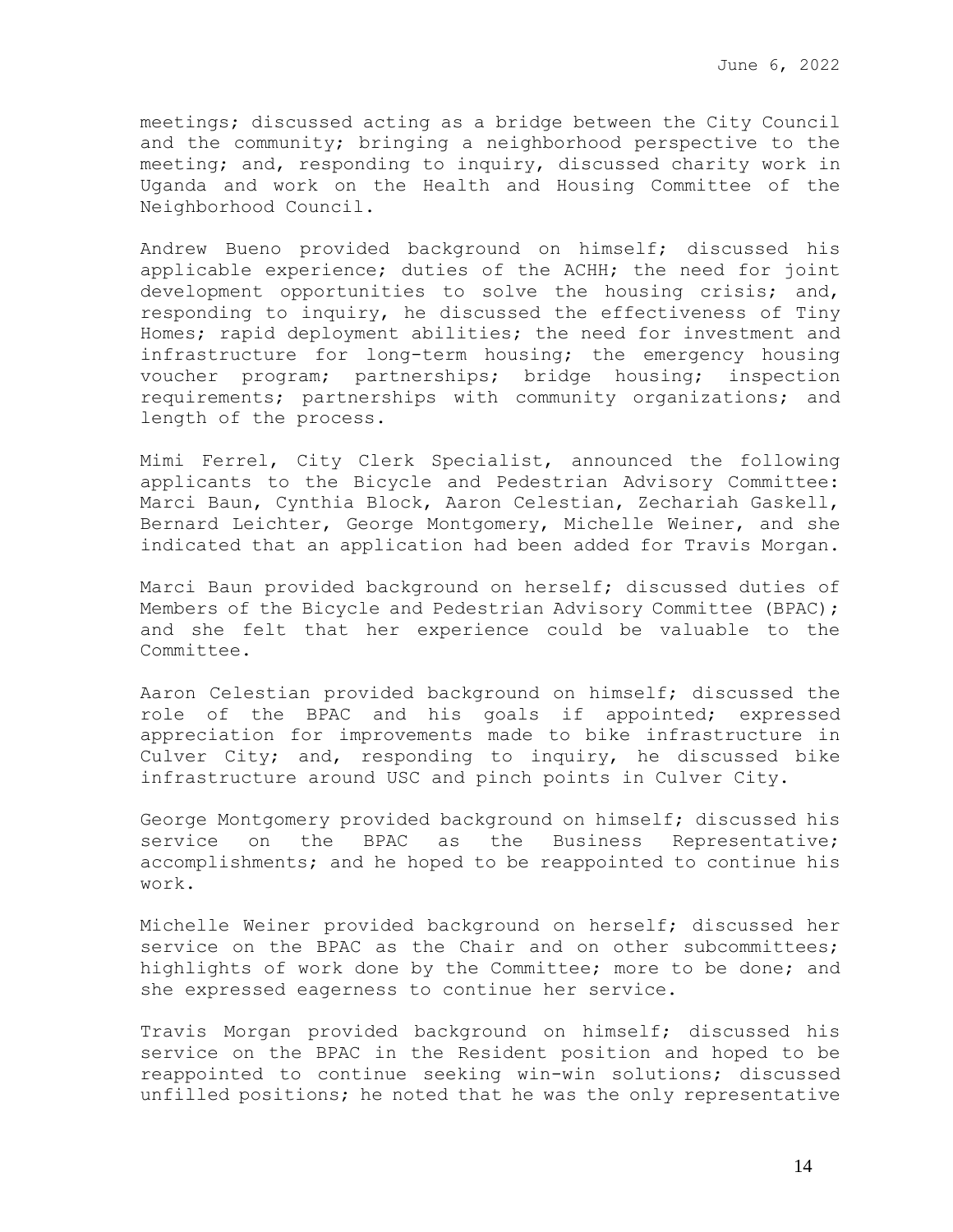meetings; discussed acting as a bridge between the City Council and the community; bringing a neighborhood perspective to the meeting; and, responding to inquiry, discussed charity work in Uganda and work on the Health and Housing Committee of the Neighborhood Council.

Andrew Bueno provided background on himself; discussed his applicable experience; duties of the ACHH; the need for joint development opportunities to solve the housing crisis; and, responding to inquiry, he discussed the effectiveness of Tiny Homes; rapid deployment abilities; the need for investment and infrastructure for long-term housing; the emergency housing voucher program; partnerships; bridge housing; inspection requirements; partnerships with community organizations; and length of the process.

Mimi Ferrel, City Clerk Specialist, announced the following applicants to the Bicycle and Pedestrian Advisory Committee: Marci Baun, Cynthia Block, Aaron Celestian, Zechariah Gaskell, Bernard Leichter, George Montgomery, Michelle Weiner, and she indicated that an application had been added for Travis Morgan.

Marci Baun provided background on herself; discussed duties of Members of the Bicycle and Pedestrian Advisory Committee (BPAC); and she felt that her experience could be valuable to the Committee.

Aaron Celestian provided background on himself; discussed the role of the BPAC and his goals if appointed; expressed appreciation for improvements made to bike infrastructure in Culver City; and, responding to inquiry, he discussed bike infrastructure around USC and pinch points in Culver City.

George Montgomery provided background on himself; discussed his service on the BPAC as the Business Representative; accomplishments; and he hoped to be reappointed to continue his work.

Michelle Weiner provided background on herself; discussed her service on the BPAC as the Chair and on other subcommittees; highlights of work done by the Committee; more to be done; and she expressed eagerness to continue her service.

Travis Morgan provided background on himself; discussed his service on the BPAC in the Resident position and hoped to be reappointed to continue seeking win-win solutions; discussed unfilled positions; he noted that he was the only representative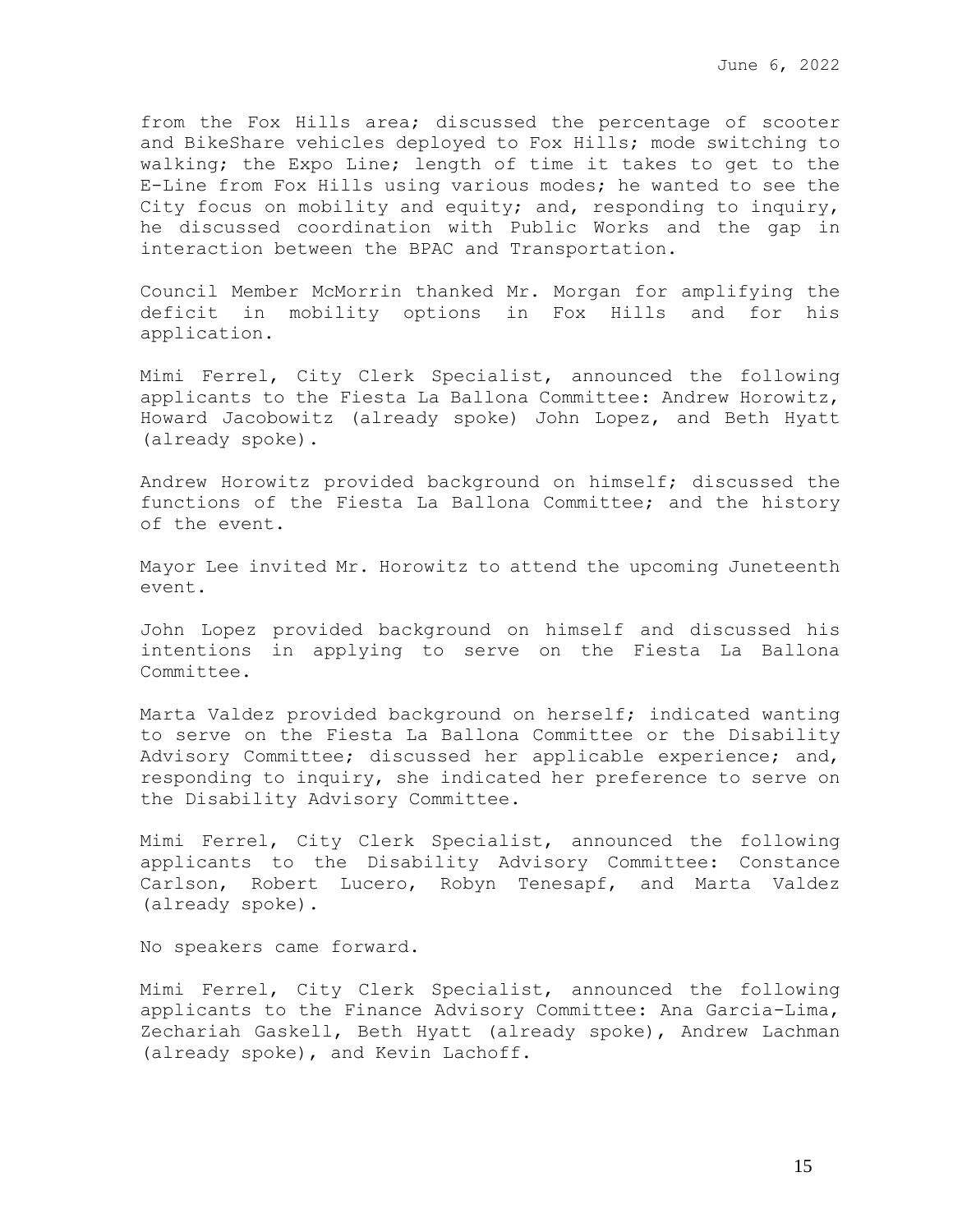from the Fox Hills area; discussed the percentage of scooter and BikeShare vehicles deployed to Fox Hills; mode switching to walking; the Expo Line; length of time it takes to get to the E-Line from Fox Hills using various modes; he wanted to see the City focus on mobility and equity; and, responding to inquiry, he discussed coordination with Public Works and the gap in interaction between the BPAC and Transportation.

Council Member McMorrin thanked Mr. Morgan for amplifying the deficit in mobility options in Fox Hills and for his application.

Mimi Ferrel, City Clerk Specialist, announced the following applicants to the Fiesta La Ballona Committee: Andrew Horowitz, Howard Jacobowitz (already spoke) John Lopez, and Beth Hyatt (already spoke).

Andrew Horowitz provided background on himself; discussed the functions of the Fiesta La Ballona Committee; and the history of the event.

Mayor Lee invited Mr. Horowitz to attend the upcoming Juneteenth event.

John Lopez provided background on himself and discussed his intentions in applying to serve on the Fiesta La Ballona Committee.

Marta Valdez provided background on herself; indicated wanting to serve on the Fiesta La Ballona Committee or the Disability Advisory Committee; discussed her applicable experience; and, responding to inquiry, she indicated her preference to serve on the Disability Advisory Committee.

Mimi Ferrel, City Clerk Specialist, announced the following applicants to the Disability Advisory Committee: Constance Carlson, Robert Lucero, Robyn Tenesapf, and Marta Valdez (already spoke).

No speakers came forward.

Mimi Ferrel, City Clerk Specialist, announced the following applicants to the Finance Advisory Committee: Ana Garcia-Lima, Zechariah Gaskell, Beth Hyatt (already spoke), Andrew Lachman (already spoke), and Kevin Lachoff.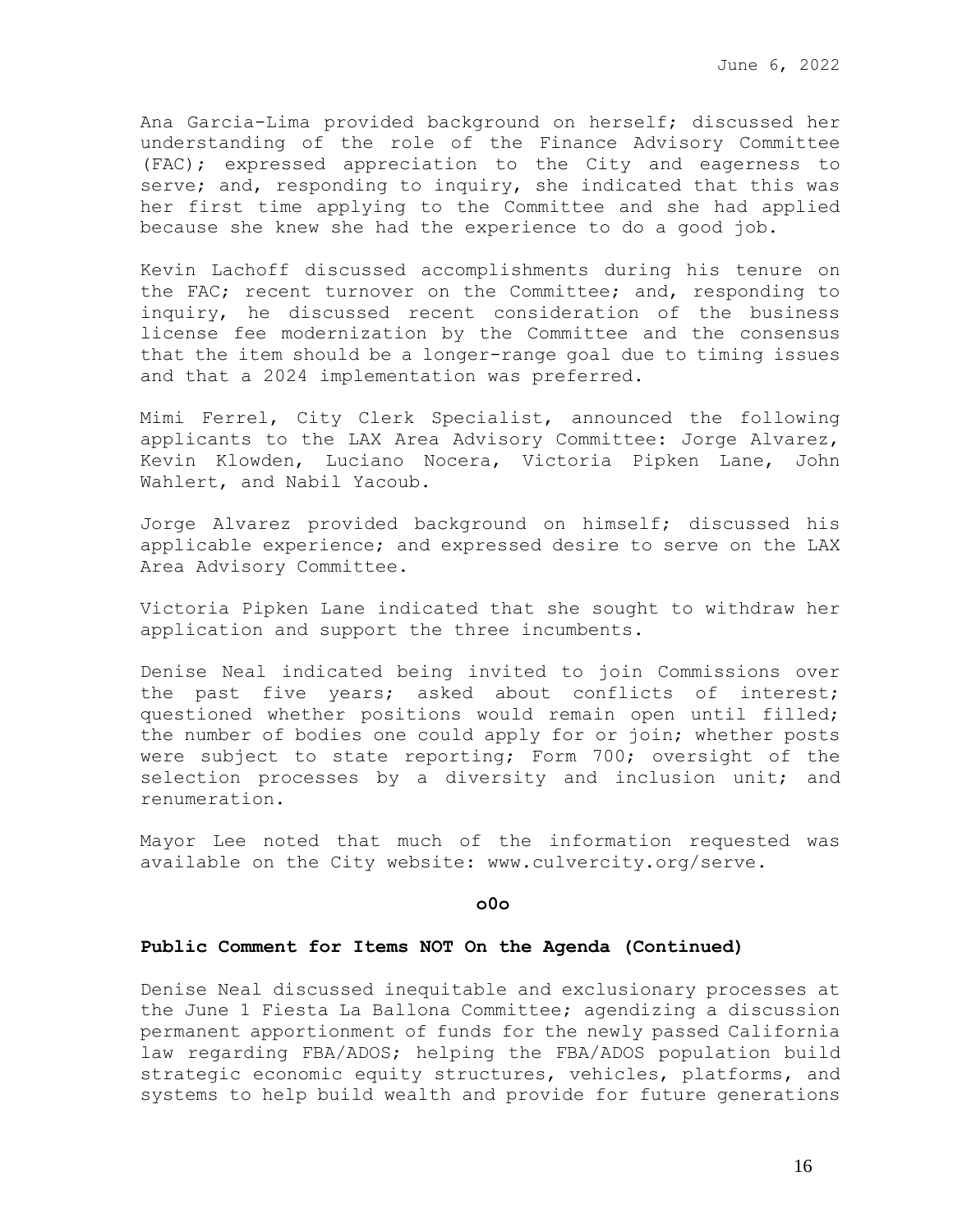Ana Garcia-Lima provided background on herself; discussed her understanding of the role of the Finance Advisory Committee (FAC); expressed appreciation to the City and eagerness to serve; and, responding to inquiry, she indicated that this was her first time applying to the Committee and she had applied because she knew she had the experience to do a good job.

Kevin Lachoff discussed accomplishments during his tenure on the FAC; recent turnover on the Committee; and, responding to inquiry, he discussed recent consideration of the business license fee modernization by the Committee and the consensus that the item should be a longer-range goal due to timing issues and that a 2024 implementation was preferred.

Mimi Ferrel, City Clerk Specialist, announced the following applicants to the LAX Area Advisory Committee: Jorge Alvarez, Kevin Klowden, Luciano Nocera, Victoria Pipken Lane, John Wahlert, and Nabil Yacoub.

Jorge Alvarez provided background on himself; discussed his applicable experience; and expressed desire to serve on the LAX Area Advisory Committee.

Victoria Pipken Lane indicated that she sought to withdraw her application and support the three incumbents.

Denise Neal indicated being invited to join Commissions over the past five years; asked about conflicts of interest; questioned whether positions would remain open until filled; the number of bodies one could apply for or join; whether posts were subject to state reporting; Form 700; oversight of the selection processes by a diversity and inclusion unit; and renumeration.

Mayor Lee noted that much of the information requested was available on the City website: www.culvercity.org/serve.

#### **o0o**

#### **Public Comment for Items NOT On the Agenda (Continued)**

Denise Neal discussed inequitable and exclusionary processes at the June 1 Fiesta La Ballona Committee; agendizing a discussion permanent apportionment of funds for the newly passed California law regarding FBA/ADOS; helping the FBA/ADOS population build strategic economic equity structures, vehicles, platforms, and systems to help build wealth and provide for future generations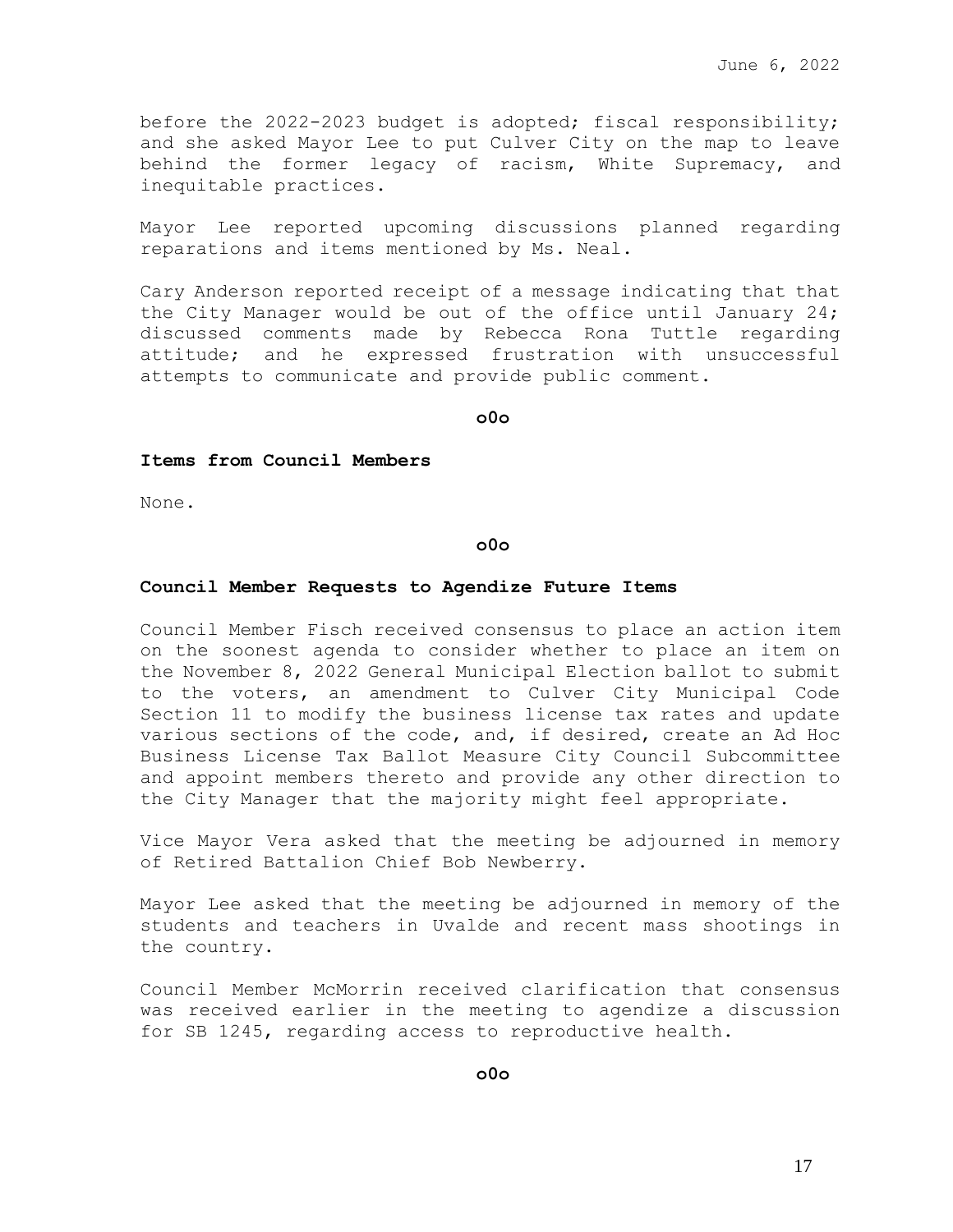before the 2022-2023 budget is adopted; fiscal responsibility; and she asked Mayor Lee to put Culver City on the map to leave behind the former legacy of racism, White Supremacy, and inequitable practices.

Mayor Lee reported upcoming discussions planned regarding reparations and items mentioned by Ms. Neal.

Cary Anderson reported receipt of a message indicating that that the City Manager would be out of the office until January 24; discussed comments made by Rebecca Rona Tuttle regarding attitude; and he expressed frustration with unsuccessful attempts to communicate and provide public comment.

**o0o**

### **Items from Council Members**

None.

#### **o0o**

#### **Council Member Requests to Agendize Future Items**

Council Member Fisch received consensus to place an action item on the soonest agenda to consider whether to place an item on the November 8, 2022 General Municipal Election ballot to submit to the voters, an amendment to Culver City Municipal Code Section 11 to modify the business license tax rates and update various sections of the code, and, if desired, create an Ad Hoc Business License Tax Ballot Measure City Council Subcommittee and appoint members thereto and provide any other direction to the City Manager that the majority might feel appropriate.

Vice Mayor Vera asked that the meeting be adjourned in memory of Retired Battalion Chief Bob Newberry.

Mayor Lee asked that the meeting be adjourned in memory of the students and teachers in Uvalde and recent mass shootings in the country.

Council Member McMorrin received clarification that consensus was received earlier in the meeting to agendize a discussion for SB 1245, regarding access to reproductive health.

**o0o**